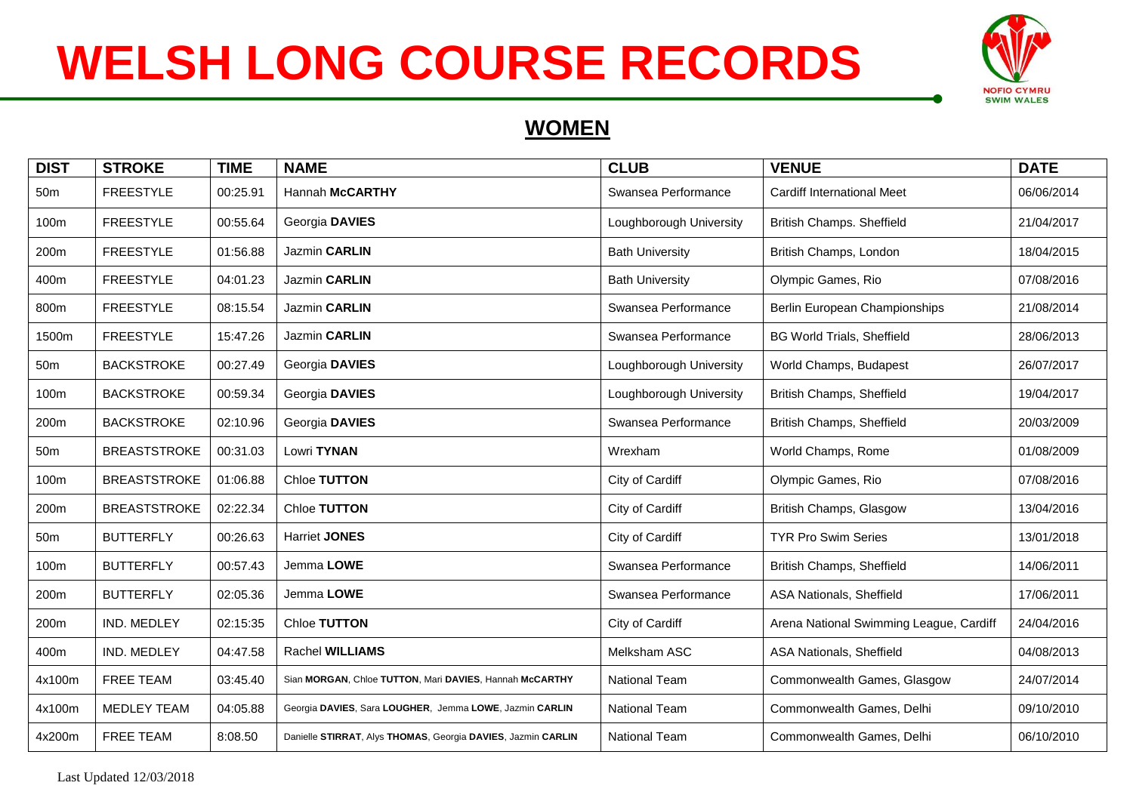

#### **WOMEN**

| <b>DIST</b>     | <b>STROKE</b>       | <b>TIME</b> | <b>NAME</b>                                                  | <b>CLUB</b>             | <b>VENUE</b>                            | <b>DATE</b> |
|-----------------|---------------------|-------------|--------------------------------------------------------------|-------------------------|-----------------------------------------|-------------|
| 50 <sub>m</sub> | <b>FREESTYLE</b>    | 00:25.91    | Hannah McCARTHY                                              | Swansea Performance     | <b>Cardiff International Meet</b>       | 06/06/2014  |
| 100m            | <b>FREESTYLE</b>    | 00:55.64    | Georgia DAVIES                                               | Loughborough University | British Champs. Sheffield               | 21/04/2017  |
| 200m            | <b>FREESTYLE</b>    | 01:56.88    | Jazmin CARLIN                                                | <b>Bath University</b>  | British Champs, London                  | 18/04/2015  |
| 400m            | <b>FREESTYLE</b>    | 04:01.23    | Jazmin CARLIN                                                | <b>Bath University</b>  | Olympic Games, Rio                      | 07/08/2016  |
| 800m            | <b>FREESTYLE</b>    | 08:15.54    | Jazmin CARLIN                                                | Swansea Performance     | Berlin European Championships           | 21/08/2014  |
| 1500m           | <b>FREESTYLE</b>    | 15:47.26    | Jazmin CARLIN                                                | Swansea Performance     | <b>BG World Trials, Sheffield</b>       | 28/06/2013  |
| 50 <sub>m</sub> | <b>BACKSTROKE</b>   | 00:27.49    | Georgia DAVIES                                               | Loughborough University | World Champs, Budapest                  | 26/07/2017  |
| 100m            | <b>BACKSTROKE</b>   | 00:59.34    | Georgia DAVIES                                               | Loughborough University | British Champs, Sheffield               | 19/04/2017  |
| 200m            | <b>BACKSTROKE</b>   | 02:10.96    | Georgia DAVIES                                               | Swansea Performance     | British Champs, Sheffield               | 20/03/2009  |
| 50 <sub>m</sub> | <b>BREASTSTROKE</b> | 00:31.03    | Lowri TYNAN                                                  | Wrexham                 | World Champs, Rome                      | 01/08/2009  |
| 100m            | <b>BREASTSTROKE</b> | 01:06.88    | Chloe TUTTON                                                 | City of Cardiff         | Olympic Games, Rio                      | 07/08/2016  |
| 200m            | <b>BREASTSTROKE</b> | 02:22.34    | Chloe TUTTON                                                 | City of Cardiff         | British Champs, Glasgow                 | 13/04/2016  |
| 50 <sub>m</sub> | <b>BUTTERFLY</b>    | 00:26.63    | <b>Harriet JONES</b>                                         | City of Cardiff         | <b>TYR Pro Swim Series</b>              | 13/01/2018  |
| 100m            | <b>BUTTERFLY</b>    | 00:57.43    | Jemma LOWE                                                   | Swansea Performance     | British Champs, Sheffield               | 14/06/2011  |
| 200m            | <b>BUTTERFLY</b>    | 02:05.36    | Jemma LOWE                                                   | Swansea Performance     | ASA Nationals, Sheffield                | 17/06/2011  |
| 200m            | IND. MEDLEY         | 02:15:35    | Chloe TUTTON                                                 | City of Cardiff         | Arena National Swimming League, Cardiff | 24/04/2016  |
| 400m            | IND. MEDLEY         | 04:47.58    | Rachel WILLIAMS                                              | Melksham ASC            | ASA Nationals, Sheffield                | 04/08/2013  |
| 4x100m          | <b>FREE TEAM</b>    | 03:45.40    | Sian MORGAN, Chloe TUTTON, Mari DAVIES, Hannah McCARTHY      | <b>National Team</b>    | Commonwealth Games, Glasgow             | 24/07/2014  |
| 4x100m          | MEDLEY TEAM         | 04:05.88    | Georgia DAVIES, Sara LOUGHER, Jemma LOWE, Jazmin CARLIN      | <b>National Team</b>    | Commonwealth Games, Delhi               | 09/10/2010  |
| 4x200m          | <b>FREE TEAM</b>    | 8:08.50     | Danielle STIRRAT, Alys THOMAS, Georgia DAVIES, Jazmin CARLIN | <b>National Team</b>    | Commonwealth Games, Delhi               | 06/10/2010  |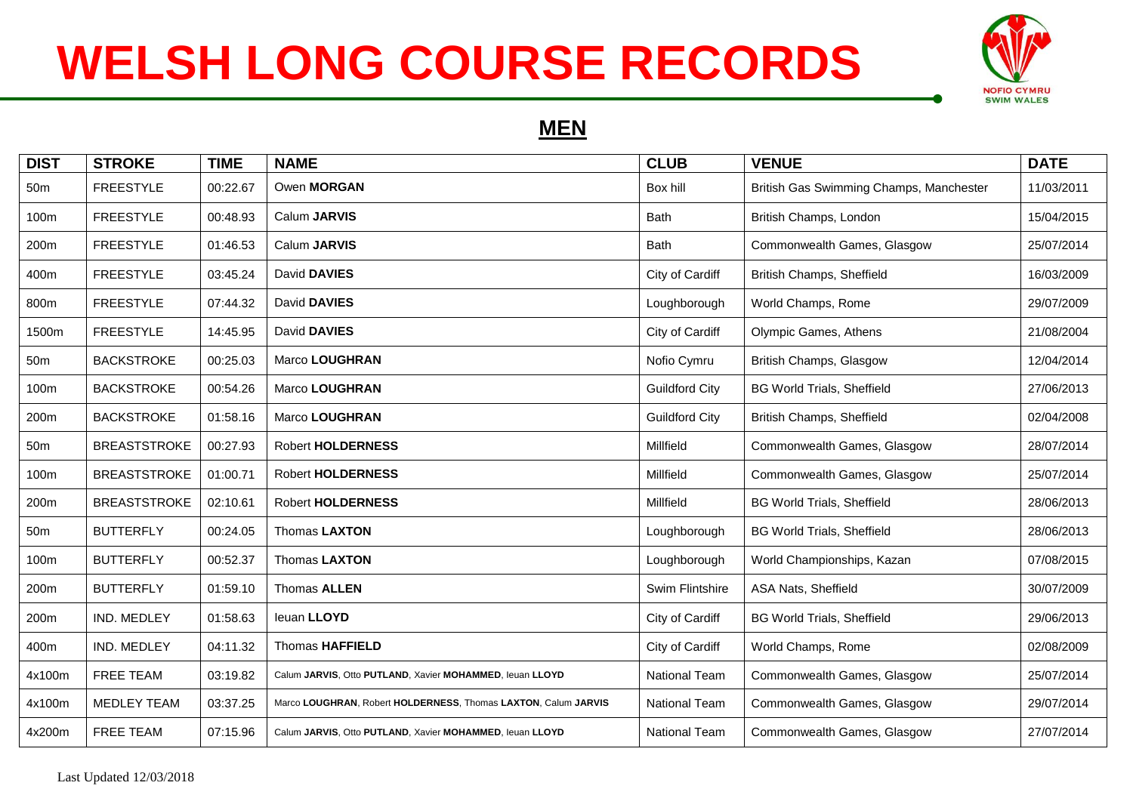

#### **MEN**

| <b>DIST</b>     | <b>STROKE</b>       | <b>TIME</b> | <b>NAME</b>                                                    | <b>CLUB</b>           | <b>VENUE</b>                            | <b>DATE</b> |
|-----------------|---------------------|-------------|----------------------------------------------------------------|-----------------------|-----------------------------------------|-------------|
| 50m             | <b>FREESTYLE</b>    | 00:22.67    | Owen MORGAN                                                    | Box hill              | British Gas Swimming Champs, Manchester | 11/03/2011  |
| 100m            | <b>FREESTYLE</b>    | 00:48.93    | Calum JARVIS                                                   | Bath                  | British Champs, London                  | 15/04/2015  |
| 200m            | <b>FREESTYLE</b>    | 01:46.53    | Calum JARVIS                                                   | Bath                  | Commonwealth Games, Glasgow             | 25/07/2014  |
| 400m            | <b>FREESTYLE</b>    | 03:45.24    | David DAVIES                                                   | City of Cardiff       | British Champs, Sheffield               | 16/03/2009  |
| 800m            | <b>FREESTYLE</b>    | 07:44.32    | David DAVIES                                                   | Loughborough          | World Champs, Rome                      | 29/07/2009  |
| 1500m           | <b>FREESTYLE</b>    | 14:45.95    | David DAVIES                                                   | City of Cardiff       | Olympic Games, Athens                   | 21/08/2004  |
| 50 <sub>m</sub> | <b>BACKSTROKE</b>   | 00:25.03    | Marco LOUGHRAN                                                 | Nofio Cymru           | British Champs, Glasgow                 | 12/04/2014  |
| 100m            | <b>BACKSTROKE</b>   | 00:54.26    | Marco LOUGHRAN                                                 | <b>Guildford City</b> | <b>BG World Trials, Sheffield</b>       | 27/06/2013  |
| 200m            | <b>BACKSTROKE</b>   | 01:58.16    | Marco LOUGHRAN                                                 | <b>Guildford City</b> | British Champs, Sheffield               | 02/04/2008  |
| 50 <sub>m</sub> | <b>BREASTSTROKE</b> | 00:27.93    | <b>Robert HOLDERNESS</b>                                       | Millfield             | Commonwealth Games, Glasgow             | 28/07/2014  |
| 100m            | <b>BREASTSTROKE</b> | 01:00.71    | <b>Robert HOLDERNESS</b>                                       | Millfield             | Commonwealth Games, Glasgow             | 25/07/2014  |
| 200m            | <b>BREASTSTROKE</b> | 02:10.61    | <b>Robert HOLDERNESS</b>                                       | Millfield             | <b>BG World Trials, Sheffield</b>       | 28/06/2013  |
| 50 <sub>m</sub> | <b>BUTTERFLY</b>    | 00:24.05    | Thomas LAXTON                                                  | Loughborough          | <b>BG World Trials, Sheffield</b>       | 28/06/2013  |
| 100m            | <b>BUTTERFLY</b>    | 00:52.37    | Thomas LAXTON                                                  | Loughborough          | World Championships, Kazan              | 07/08/2015  |
| 200m            | <b>BUTTERFLY</b>    | 01:59.10    | Thomas ALLEN                                                   | Swim Flintshire       | ASA Nats, Sheffield                     | 30/07/2009  |
| 200m            | IND. MEDLEY         | 01:58.63    | leuan LLOYD                                                    | City of Cardiff       | <b>BG World Trials, Sheffield</b>       | 29/06/2013  |
| 400m            | IND. MEDLEY         | 04:11.32    | <b>Thomas HAFFIELD</b>                                         | City of Cardiff       | World Champs, Rome                      | 02/08/2009  |
| 4x100m          | <b>FREE TEAM</b>    | 03:19.82    | Calum JARVIS, Otto PUTLAND, Xavier MOHAMMED, leuan LLOYD       | <b>National Team</b>  | Commonwealth Games, Glasgow             | 25/07/2014  |
| 4x100m          | <b>MEDLEY TEAM</b>  | 03:37.25    | Marco LOUGHRAN, Robert HOLDERNESS, Thomas LAXTON, Calum JARVIS | National Team         | Commonwealth Games, Glasgow             | 29/07/2014  |
| 4x200m          | <b>FREE TEAM</b>    | 07:15.96    | Calum JARVIS, Otto PUTLAND, Xavier MOHAMMED, leuan LLOYD       | <b>National Team</b>  | Commonwealth Games, Glasgow             | 27/07/2014  |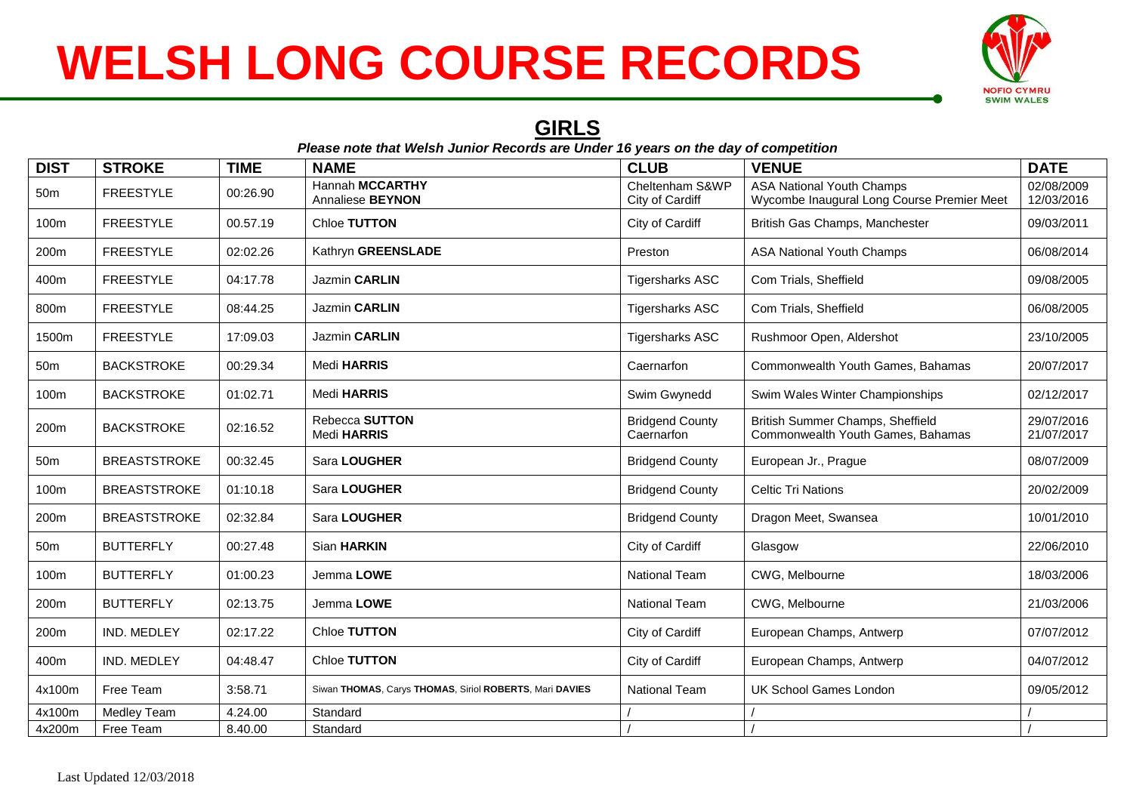

#### **GIRLS**

|                  | Please note that Welsh Junior Records are Under 16 years on the day of competition |             |                                                         |                                      |                                                                                |                          |  |  |
|------------------|------------------------------------------------------------------------------------|-------------|---------------------------------------------------------|--------------------------------------|--------------------------------------------------------------------------------|--------------------------|--|--|
| <b>DIST</b>      | <b>STROKE</b>                                                                      | <b>TIME</b> | <b>NAME</b>                                             | <b>CLUB</b>                          | <b>VENUE</b>                                                                   | <b>DATE</b>              |  |  |
| 50 <sub>m</sub>  | <b>FREESTYLE</b>                                                                   | 00:26.90    | Hannah MCCARTHY<br>Annaliese BEYNON                     | Cheltenham S&WP<br>City of Cardiff   | <b>ASA National Youth Champs</b><br>Wycombe Inaugural Long Course Premier Meet | 02/08/2009<br>12/03/2016 |  |  |
| 100m             | <b>FREESTYLE</b>                                                                   | 00.57.19    | Chloe TUTTON                                            | City of Cardiff                      | British Gas Champs, Manchester                                                 | 09/03/2011               |  |  |
| 200m             | <b>FREESTYLE</b>                                                                   | 02:02.26    | Kathryn GREENSLADE                                      | Preston                              | <b>ASA National Youth Champs</b>                                               | 06/08/2014               |  |  |
| 400m             | <b>FREESTYLE</b>                                                                   | 04:17.78    | Jazmin CARLIN                                           | <b>Tigersharks ASC</b>               | Com Trials, Sheffield                                                          | 09/08/2005               |  |  |
| 800m             | <b>FREESTYLE</b>                                                                   | 08:44.25    | Jazmin CARLIN                                           | <b>Tigersharks ASC</b>               | Com Trials, Sheffield                                                          | 06/08/2005               |  |  |
| 1500m            | <b>FREESTYLE</b>                                                                   | 17:09.03    | Jazmin CARLIN                                           | <b>Tigersharks ASC</b>               | Rushmoor Open, Aldershot                                                       | 23/10/2005               |  |  |
| 50 <sub>m</sub>  | <b>BACKSTROKE</b>                                                                  | 00:29.34    | Medi HARRIS                                             | Caernarfon                           | Commonwealth Youth Games, Bahamas                                              | 20/07/2017               |  |  |
| 100m             | <b>BACKSTROKE</b>                                                                  | 01:02.71    | Medi HARRIS                                             | Swim Gwynedd                         | Swim Wales Winter Championships                                                | 02/12/2017               |  |  |
| 200m             | <b>BACKSTROKE</b>                                                                  | 02:16.52    | Rebecca SUTTON<br>Medi HARRIS                           | <b>Bridgend County</b><br>Caernarfon | British Summer Champs, Sheffield<br>Commonwealth Youth Games, Bahamas          | 29/07/2016<br>21/07/2017 |  |  |
| 50 <sub>m</sub>  | <b>BREASTSTROKE</b>                                                                | 00:32.45    | Sara LOUGHER                                            | <b>Bridgend County</b>               | European Jr., Prague                                                           | 08/07/2009               |  |  |
| 100m             | <b>BREASTSTROKE</b>                                                                | 01:10.18    | Sara LOUGHER                                            | <b>Bridgend County</b>               | <b>Celtic Tri Nations</b>                                                      | 20/02/2009               |  |  |
| 200m             | <b>BREASTSTROKE</b>                                                                | 02:32.84    | Sara LOUGHER                                            | <b>Bridgend County</b>               | Dragon Meet, Swansea                                                           | 10/01/2010               |  |  |
| 50 <sub>m</sub>  | <b>BUTTERFLY</b>                                                                   | 00:27.48    | Sian HARKIN                                             | City of Cardiff                      | Glasgow                                                                        | 22/06/2010               |  |  |
| 100m             | <b>BUTTERFLY</b>                                                                   | 01:00.23    | Jemma LOWE                                              | National Team                        | CWG, Melbourne                                                                 | 18/03/2006               |  |  |
| 200 <sub>m</sub> | <b>BUTTERFLY</b>                                                                   | 02:13.75    | Jemma LOWE                                              | <b>National Team</b>                 | CWG. Melbourne                                                                 | 21/03/2006               |  |  |
| 200m             | IND. MEDLEY                                                                        | 02:17.22    | Chloe TUTTON                                            | City of Cardiff                      | European Champs, Antwerp                                                       | 07/07/2012               |  |  |
| 400m             | IND. MEDLEY                                                                        | 04:48.47    | Chloe TUTTON                                            | City of Cardiff                      | European Champs, Antwerp                                                       | 04/07/2012               |  |  |
| 4x100m           | Free Team                                                                          | 3:58.71     | Siwan THOMAS, Carys THOMAS, Siriol ROBERTS, Mari DAVIES | National Team                        | <b>UK School Games London</b>                                                  | 09/05/2012               |  |  |
| 4x100m           | <b>Medley Team</b>                                                                 | 4.24.00     | Standard                                                |                                      |                                                                                |                          |  |  |
| 4x200m           | Free Team                                                                          | 8.40.00     | Standard                                                |                                      |                                                                                |                          |  |  |